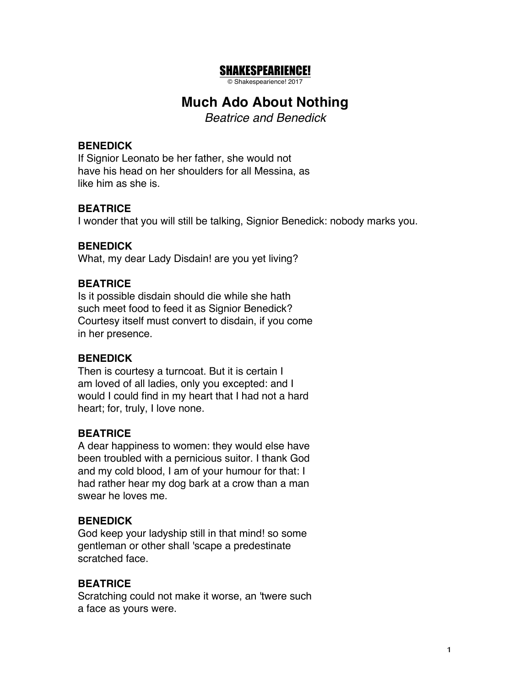# SHAKESPEARIENCE!

© Shakespearience! 2017

# **Much Ado About Nothing**

*Beatrice and Benedick*

#### **BENEDICK**

If Signior Leonato be her father, she would not have his head on her shoulders for all Messina, as like him as she is.

#### **BEATRICE**

I wonder that you will still be talking, Signior Benedick: nobody marks you.

#### **BENEDICK**

What, my dear Lady Disdain! are you yet living?

#### **BEATRICE**

Is it possible disdain should die while she hath such meet food to feed it as Signior Benedick? Courtesy itself must convert to disdain, if you come in her presence.

#### **BENEDICK**

Then is courtesy a turncoat. But it is certain I am loved of all ladies, only you excepted: and I would I could find in my heart that I had not a hard heart; for, truly, I love none.

#### **BEATRICE**

A dear happiness to women: they would else have been troubled with a pernicious suitor. I thank God and my cold blood, I am of your humour for that: I had rather hear my dog bark at a crow than a man swear he loves me.

#### **BENEDICK**

God keep your ladyship still in that mind! so some gentleman or other shall 'scape a predestinate scratched face.

#### **BEATRICE**

Scratching could not make it worse, an 'twere such a face as yours were.